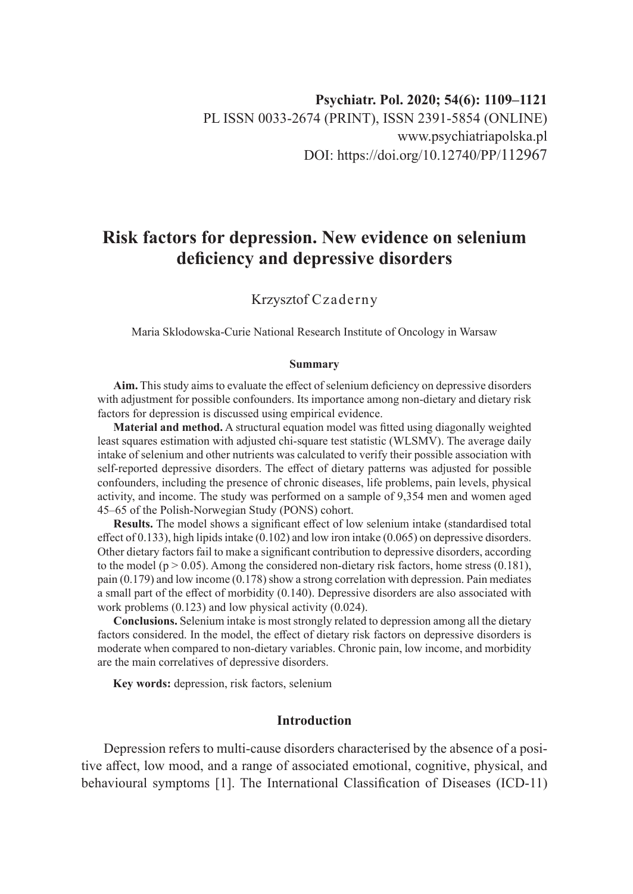# **Risk factors for depression. New evidence on selenium deficiency and depressive disorders**

## Krzysztof Czaderny

Maria Sklodowska-Curie National Research Institute of Oncology in Warsaw

#### **Summary**

**Aim.** This study aims to evaluate the effect of selenium deficiency on depressive disorders with adjustment for possible confounders. Its importance among non-dietary and dietary risk factors for depression is discussed using empirical evidence.

**Material and method.** A structural equation model was fitted using diagonally weighted least squares estimation with adjusted chi-square test statistic (WLSMV). The average daily intake of selenium and other nutrients was calculated to verify their possible association with self-reported depressive disorders. The effect of dietary patterns was adjusted for possible confounders, including the presence of chronic diseases, life problems, pain levels, physical activity, and income. The study was performed on a sample of 9,354 men and women aged 45–65 of the Polish-Norwegian Study (PONS) cohort.

**Results.** The model shows a significant effect of low selenium intake (standardised total effect of 0.133), high lipids intake (0.102) and low iron intake (0.065) on depressive disorders. Other dietary factors fail to make a significant contribution to depressive disorders, according to the model ( $p > 0.05$ ). Among the considered non-dietary risk factors, home stress (0.181), pain (0.179) and low income (0.178) show a strong correlation with depression. Pain mediates a small part of the effect of morbidity (0.140). Depressive disorders are also associated with work problems (0.123) and low physical activity (0.024).

**Conclusions.** Selenium intake is most strongly related to depression among all the dietary factors considered. In the model, the effect of dietary risk factors on depressive disorders is moderate when compared to non-dietary variables. Chronic pain, low income, and morbidity are the main correlatives of depressive disorders.

**Key words:** depression, risk factors, selenium

## **Introduction**

Depression refers to multi-cause disorders characterised by the absence of a positive affect, low mood, and a range of associated emotional, cognitive, physical, and behavioural symptoms [1]. The International Classification of Diseases (ICD-11)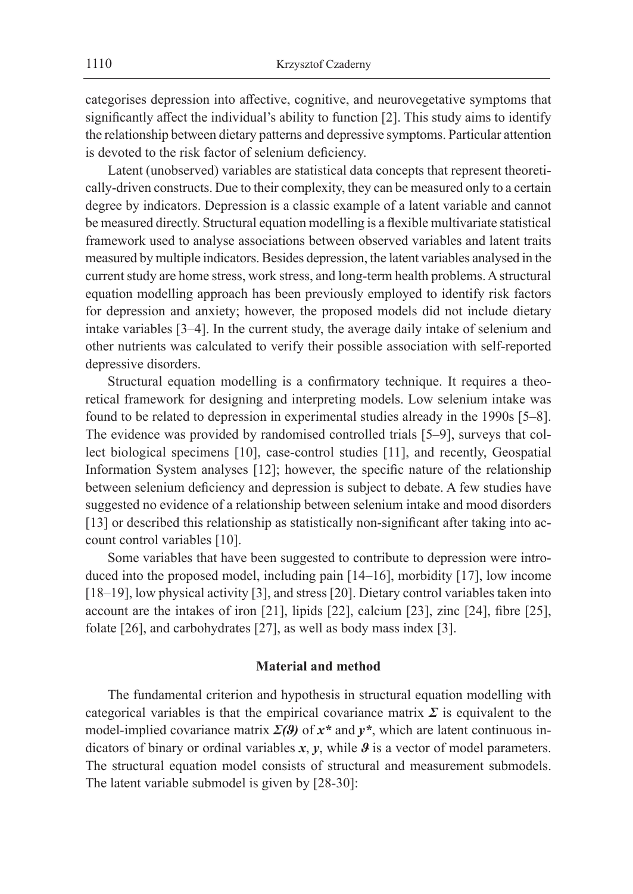categorises depression into affective, cognitive, and neurovegetative symptoms that significantly affect the individual's ability to function [2]. This study aims to identify the relationship between dietary patterns and depressive symptoms. Particular attention is devoted to the risk factor of selenium deficiency.

Latent (unobserved) variables are statistical data concepts that represent theoretically-driven constructs. Due to their complexity, they can be measured only to a certain degree by indicators. Depression is a classic example of a latent variable and cannot be measured directly. Structural equation modelling is a flexible multivariate statistical framework used to analyse associations between observed variables and latent traits measured by multiple indicators. Besides depression, the latent variables analysed in the current study are home stress, work stress, and long-term health problems. Astructural equation modelling approach has been previously employed to identify risk factors for depression and anxiety; however, the proposed models did not include dietary intake variables [3–4]. In the current study, the average daily intake of selenium and other nutrients was calculated to verify their possible association with self-reported depressive disorders.

Structural equation modelling is a confirmatory technique. It requires a theoretical framework for designing and interpreting models. Low selenium intake was found to be related to depression in experimental studies already in the 1990s [5–8]. The evidence was provided by randomised controlled trials [5–9], surveys that collect biological specimens [10], case-control studies [11], and recently, Geospatial Information System analyses [12]; however, the specific nature of the relationship between selenium deficiency and depression is subject to debate. A few studies have suggested no evidence of a relationship between selenium intake and mood disorders [13] or described this relationship as statistically non-significant after taking into account control variables [10].

Some variables that have been suggested to contribute to depression were introduced into the proposed model, including pain [14–16], morbidity [17], low income [18–19], low physical activity [3], and stress [20]. Dietary control variables taken into account are the intakes of iron [21], lipids [22], calcium [23], zinc [24], fibre [25], folate [26], and carbohydrates [27], as well as body mass index [3].

#### **Material and method**

The fundamental criterion and hypothesis in structural equation modelling with categorical variables is that the empirical covariance matrix  $\Sigma$  is equivalent to the model-implied covariance matrix  $\Sigma(3)$  of  $x^*$  and  $y^*$ , which are latent continuous indicators of binary or ordinal variables *x*, *y*, while *ϑ* is a vector of model parameters. The structural equation model consists of structural and measurement submodels. The latent variable submodel is given by [28-30]: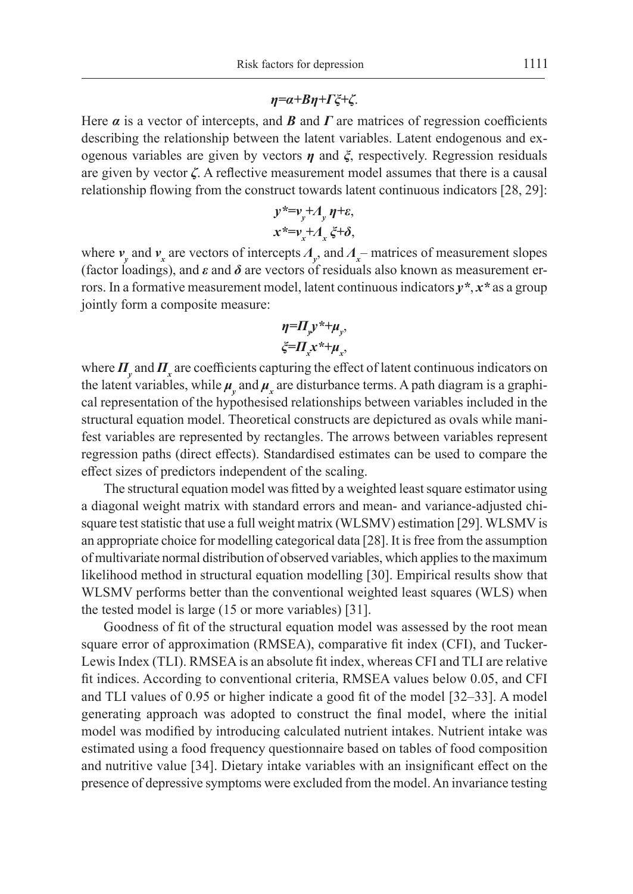#### *η=α+Bη+Γξ+ζ*.

Here  $\alpha$  is a vector of intercepts, and  $\beta$  and  $\Gamma$  are matrices of regression coefficients describing the relationship between the latent variables. Latent endogenous and exogenous variables are given by vectors *η* and *ξ*, respectively. Regression residuals are given by vector *ζ*. A reflective measurement model assumes that there is a causal relationship flowing from the construct towards latent continuous indicators [28, 29]:

$$
y^* = v_y + A_y \eta + \varepsilon,
$$
  

$$
x^* = v_x + A_x \xi + \delta,
$$

where *v<sup>y</sup>* and *v<sup>x</sup>* are vectors of intercepts *Λ<sup>y</sup>* , and *Λ<sup>x</sup>* – matrices of measurement slopes (factor loadings), and  $\varepsilon$  and  $\delta$  are vectors of residuals also known as measurement errors. In a formative measurement model, latent continuous indicators *y\**, *x\** as a group jointly form a composite measure:

$$
\eta = \Pi_y y^* + \mu_y,
$$
  

$$
\xi = \Pi_x x^* + \mu_x,
$$

where  $\Pi_{y}$  and  $\Pi_{x}$  are coefficients capturing the effect of latent continuous indicators on the latent variables, while  $\mu_{y}$  and  $\mu_{x}$  are disturbance terms. A path diagram is a graphical representation of the hypothesised relationships between variables included in the structural equation model. Theoretical constructs are depictured as ovals while manifest variables are represented by rectangles. The arrows between variables represent regression paths (direct effects). Standardised estimates can be used to compare the effect sizes of predictors independent of the scaling.

The structural equation model was fitted by a weighted least square estimator using a diagonal weight matrix with standard errors and mean- and variance-adjusted chisquare test statistic that use a full weight matrix (WLSMV) estimation [29]. WLSMV is an appropriate choice for modelling categorical data [28]. It is free from the assumption of multivariate normal distribution of observed variables, which applies to the maximum likelihood method in structural equation modelling [30]. Empirical results show that WLSMV performs better than the conventional weighted least squares (WLS) when the tested model is large (15 or more variables) [31].

Goodness of fit of the structural equation model was assessed by the root mean square error of approximation (RMSEA), comparative fit index (CFI), and Tucker-Lewis Index (TLI). RMSEA is an absolute fit index, whereas CFI and TLI are relative fit indices. According to conventional criteria, RMSEA values below 0.05, and CFI and TLI values of 0.95 or higher indicate a good fit of the model [32–33]. A model generating approach was adopted to construct the final model, where the initial model was modified by introducing calculated nutrient intakes. Nutrient intake was estimated using a food frequency questionnaire based on tables of food composition and nutritive value [34]. Dietary intake variables with an insignificant effect on the presence of depressive symptoms were excluded from the model. An invariance testing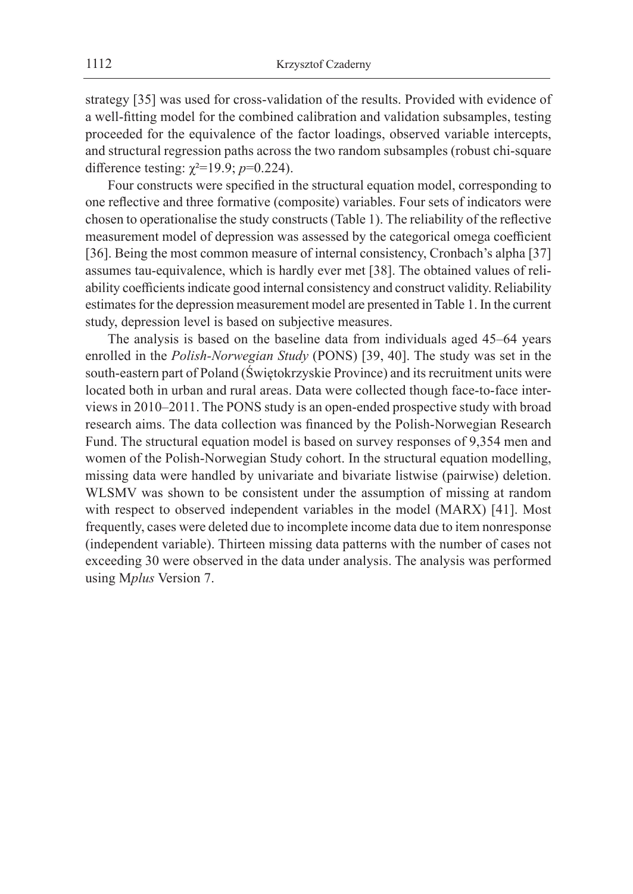strategy [35] was used for cross-validation of the results. Provided with evidence of a well-fitting model for the combined calibration and validation subsamples, testing proceeded for the equivalence of the factor loadings, observed variable intercepts, and structural regression paths across the two random subsamples (robust chi-square difference testing:  $\chi^2 = 19.9$ ; *p*=0.224).

Four constructs were specified in the structural equation model, corresponding to one reflective and three formative (composite) variables. Four sets of indicators were chosen to operationalise the study constructs (Table 1). The reliability of the reflective measurement model of depression was assessed by the categorical omega coefficient [36]. Being the most common measure of internal consistency, Cronbach's alpha [37] assumes tau-equivalence, which is hardly ever met [38]. The obtained values of reliability coefficients indicate good internal consistency and construct validity. Reliability estimates for the depression measurement model are presented in Table 1. In the current study, depression level is based on subjective measures.

The analysis is based on the baseline data from individuals aged 45–64 years enrolled in the *Polish-Norwegian Study* (PONS) [39, 40]. The study was set in the south-eastern part of Poland (Świętokrzyskie Province) and its recruitment units were located both in urban and rural areas. Data were collected though face-to-face interviews in 2010–2011. The PONS study is an open-ended prospective study with broad research aims. The data collection was financed by the Polish-Norwegian Research Fund. The structural equation model is based on survey responses of 9,354 men and women of the Polish-Norwegian Study cohort. In the structural equation modelling, missing data were handled by univariate and bivariate listwise (pairwise) deletion. WLSMV was shown to be consistent under the assumption of missing at random with respect to observed independent variables in the model (MARX) [41]. Most frequently, cases were deleted due to incomplete income data due to item nonresponse (independent variable). Thirteen missing data patterns with the number of cases not exceeding 30 were observed in the data under analysis. The analysis was performed using M*plus* Version 7.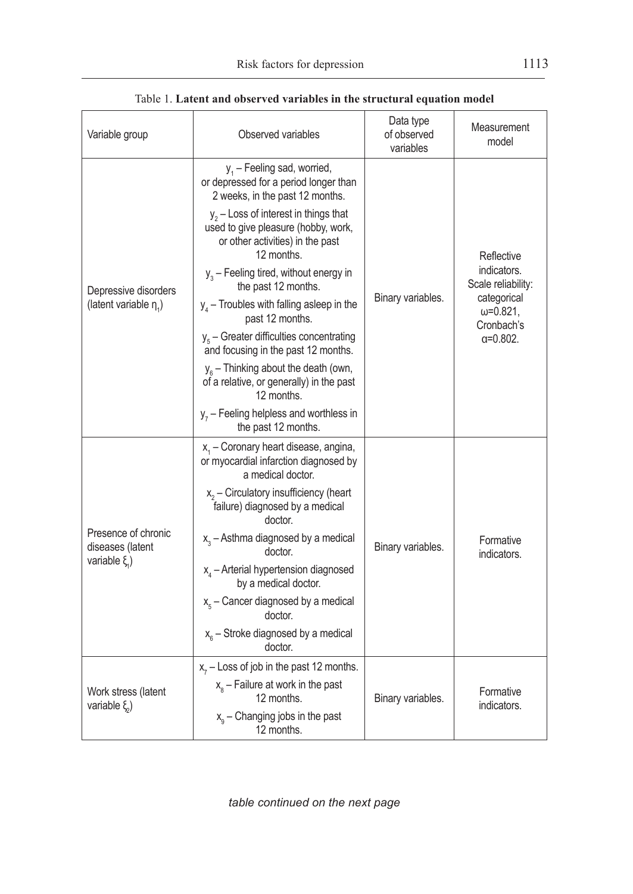| Variable group                                              | Observed variables                                                                                                                                                                                                              | Data type<br>of observed<br>variables | Measurement<br>model                                                                                                     |
|-------------------------------------------------------------|---------------------------------------------------------------------------------------------------------------------------------------------------------------------------------------------------------------------------------|---------------------------------------|--------------------------------------------------------------------------------------------------------------------------|
| Depressive disorders<br>(latent variable $\eta_1$ )         | $y_1$ – Feeling sad, worried,<br>or depressed for a period longer than<br>2 weeks, in the past 12 months.<br>$y_2$ – Loss of interest in things that<br>used to give pleasure (hobby, work,<br>or other activities) in the past |                                       |                                                                                                                          |
|                                                             | 12 months.<br>$y_3$ – Feeling tired, without energy in<br>the past 12 months.                                                                                                                                                   |                                       | Reflective<br>indicators.<br>Scale reliability:<br>categorical<br>$\omega = 0.821$ ,<br>Cronbach's<br>$\alpha = 0.802$ . |
|                                                             | $y_4$ – Troubles with falling asleep in the<br>past 12 months.                                                                                                                                                                  | Binary variables.                     |                                                                                                                          |
|                                                             | $y_{s}$ – Greater difficulties concentrating<br>and focusing in the past 12 months.                                                                                                                                             |                                       |                                                                                                                          |
|                                                             | $y_{\rm s}$ – Thinking about the death (own,<br>of a relative, or generally) in the past<br>12 months.                                                                                                                          |                                       |                                                                                                                          |
|                                                             | $y_7$ – Feeling helpless and worthless in<br>the past 12 months.                                                                                                                                                                |                                       |                                                                                                                          |
| Presence of chronic<br>diseases (latent<br>variable $\xi$ ) | $x1$ – Coronary heart disease, angina,<br>or myocardial infarction diagnosed by<br>a medical doctor.                                                                                                                            |                                       | Formative<br>indicators.                                                                                                 |
|                                                             | $x_2$ – Circulatory insufficiency (heart<br>failure) diagnosed by a medical<br>doctor.                                                                                                                                          |                                       |                                                                                                                          |
|                                                             | $x_3$ – Asthma diagnosed by a medical<br>doctor.                                                                                                                                                                                | Binary variables.                     |                                                                                                                          |
|                                                             | $x_4$ – Arterial hypertension diagnosed<br>by a medical doctor.                                                                                                                                                                 |                                       |                                                                                                                          |
|                                                             | $x_{5}$ – Cancer diagnosed by a medical<br>doctor.                                                                                                                                                                              |                                       |                                                                                                                          |
|                                                             | $x_{\rm s}$ – Stroke diagnosed by a medical<br>doctor.                                                                                                                                                                          |                                       |                                                                                                                          |
| Work stress (latent<br>variable $\xi$ )                     | $x_7$ – Loss of job in the past 12 months.                                                                                                                                                                                      | Binary variables.                     | Formative<br>indicators.                                                                                                 |
|                                                             | $x_{s}$ – Failure at work in the past<br>12 months.                                                                                                                                                                             |                                       |                                                                                                                          |
|                                                             | $x_{o}$ – Changing jobs in the past<br>12 months.                                                                                                                                                                               |                                       |                                                                                                                          |

Table 1. **Latent and observed variables in the structural equation model**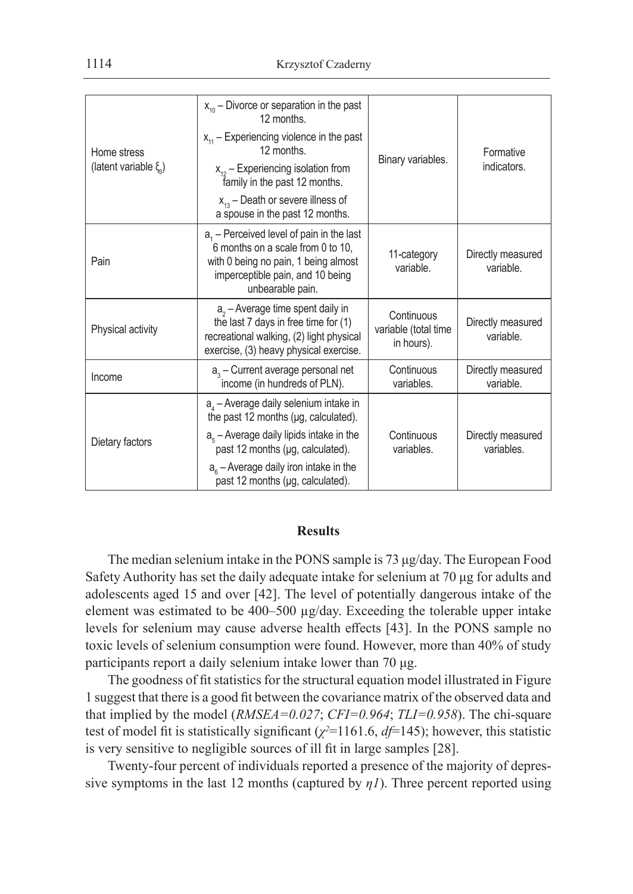| Home stress<br>(latent variable $\xi$ ) | $x_{10}$ – Divorce or separation in the past<br>12 months.                                                                                                                      | Binary variables.                                | Formative<br>indicators.        |
|-----------------------------------------|---------------------------------------------------------------------------------------------------------------------------------------------------------------------------------|--------------------------------------------------|---------------------------------|
|                                         | $x_{11}$ – Experiencing violence in the past<br>12 months.                                                                                                                      |                                                  |                                 |
|                                         | $x_{12}$ – Experiencing isolation from<br>family in the past 12 months.                                                                                                         |                                                  |                                 |
|                                         | $x_{13}$ – Death or severe illness of<br>a spouse in the past 12 months.                                                                                                        |                                                  |                                 |
| Pain                                    | $a1$ – Perceived level of pain in the last<br>6 months on a scale from 0 to 10,<br>with 0 being no pain, 1 being almost<br>imperceptible pain, and 10 being<br>unbearable pain. | 11-category<br>variable.                         | Directly measured<br>variable.  |
| Physical activity                       | $a2 - Average time spent daily in$<br>the last 7 days in free time for (1)<br>recreational walking, (2) light physical<br>exercise, (3) heavy physical exercise.                | Continuous<br>variable (total time<br>in hours). | Directly measured<br>variable.  |
| Income                                  | $a3$ – Current average personal net<br>income (in hundreds of PLN).                                                                                                             | Continuous<br>variables.                         | Directly measured<br>variable.  |
| Dietary factors                         | $aa$ – Average daily selenium intake in<br>the past 12 months (µg, calculated).                                                                                                 |                                                  |                                 |
|                                         | $a_{5}$ – Average daily lipids intake in the<br>past 12 months (µg, calculated).                                                                                                | Continuous<br>variables.                         | Directly measured<br>variables. |
|                                         | $a_{\rm s}$ – Average daily iron intake in the<br>past 12 months (µg, calculated).                                                                                              |                                                  |                                 |

## **Results**

The median selenium intake in the PONS sample is 73 μg/day. The European Food Safety Authority has set the daily adequate intake for selenium at 70 μg for adults and adolescents aged 15 and over [42]. The level of potentially dangerous intake of the element was estimated to be 400–500 µg/day. Exceeding the tolerable upper intake levels for selenium may cause adverse health effects [43]. In the PONS sample no toxic levels of selenium consumption were found. However, more than 40% of study participants report a daily selenium intake lower than 70 μg.

The goodness of fit statistics for the structural equation model illustrated in Figure 1 suggest that there is a good fit between the covariance matrix of the observed data and that implied by the model (*RMSEA=0.027*; *CFI=0.964*; *TLI=0.958*). The chi-square test of model fit is statistically significant ( $\chi^2$ =1161.6,  $df$ =145); however, this statistic is very sensitive to negligible sources of ill fit in large samples [28].

Twenty-four percent of individuals reported a presence of the majority of depressive symptoms in the last 12 months (captured by  $\eta$ *l*). Three percent reported using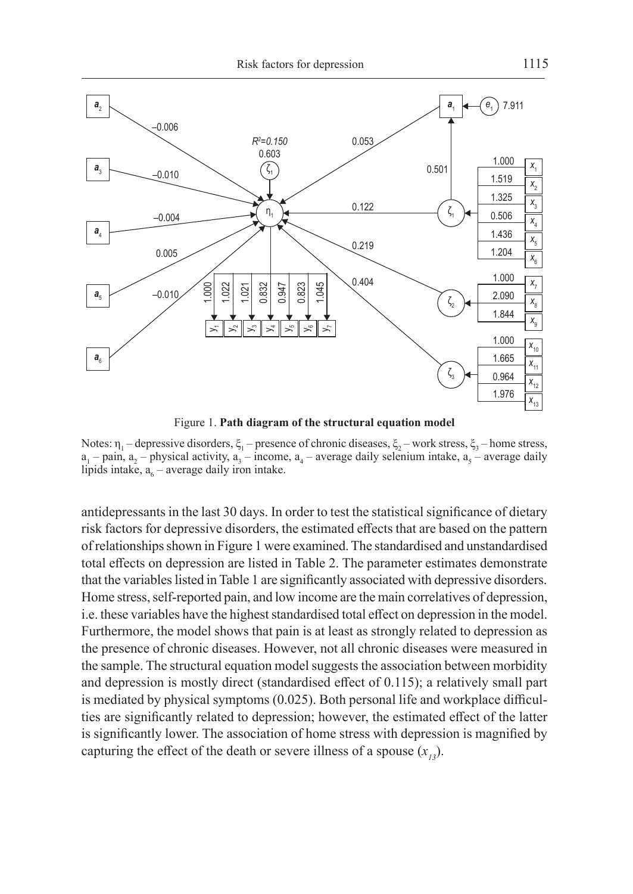

Figure 1. **Path diagram of the structural equation model**

Notes:  $\eta_1$  – depressive disorders,  $\xi_1$  – presence of chronic diseases,  $\xi_2$  – work stress,  $\xi_3$  – home stress,  $a_1$  – pain,  $a_2$  – physical activity,  $a_3$  – income,  $a_4$  – average daily selenium intake,  $a_5$  – average daily lipids intake,  $a_6$  – average daily iron intake.

antidepressants in the last 30 days. In order to test the statistical significance of dietary risk factors for depressive disorders, the estimated effects that are based on the pattern of relationships shown in Figure 1 were examined. The standardised and unstandardised total effects on depression are listed in Table 2. The parameter estimates demonstrate that the variables listed in Table 1 are significantly associated with depressive disorders. Home stress, self-reported pain, and low income are the main correlatives of depression, i.e. these variables have the highest standardised total effect on depression in the model. Furthermore, the model shows that pain is at least as strongly related to depression as the presence of chronic diseases. However, not all chronic diseases were measured in the sample. The structural equation model suggests the association between morbidity and depression is mostly direct (standardised effect of 0.115); a relatively small part is mediated by physical symptoms (0.025). Both personal life and workplace difficulties are significantly related to depression; however, the estimated effect of the latter is significantly lower. The association of home stress with depression is magnified by capturing the effect of the death or severe illness of a spouse  $(x_i)$ .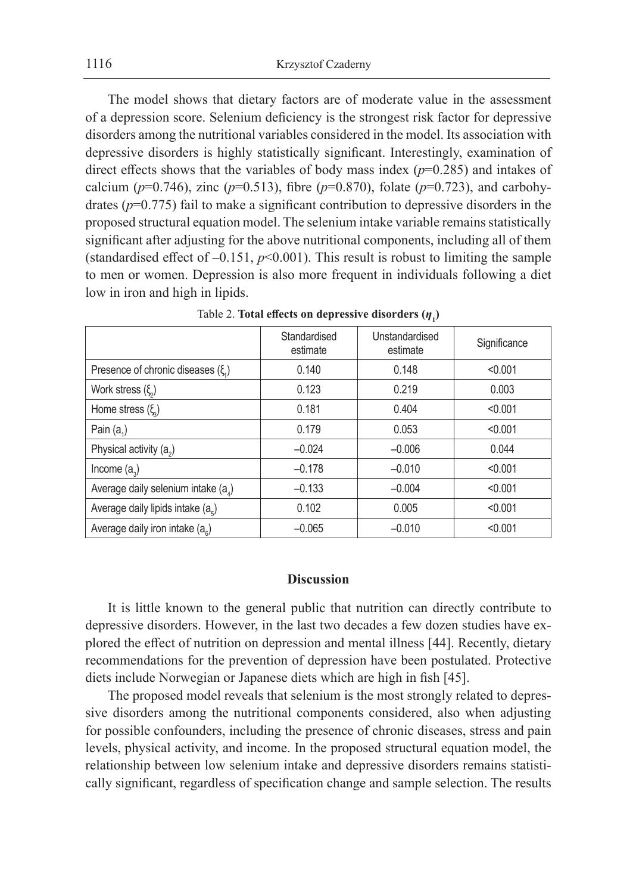The model shows that dietary factors are of moderate value in the assessment of a depression score. Selenium deficiency is the strongest risk factor for depressive disorders among the nutritional variables considered in the model. Its association with depressive disorders is highly statistically significant. Interestingly, examination of direct effects shows that the variables of body mass index (*p*=0.285) and intakes of calcium ( $p=0.746$ ), zinc ( $p=0.513$ ), fibre ( $p=0.870$ ), folate ( $p=0.723$ ), and carbohydrates (*p*=0.775) fail to make a significant contribution to depressive disorders in the proposed structural equation model. The selenium intake variable remains statistically significant after adjusting for the above nutritional components, including all of them (standardised effect of  $-0.151$ ,  $p<0.001$ ). This result is robust to limiting the sample to men or women. Depression is also more frequent in individuals following a diet low in iron and high in lipids.

|                                       | Standardised<br>estimate | Unstandardised<br>estimate | Significance |
|---------------------------------------|--------------------------|----------------------------|--------------|
| Presence of chronic diseases $(\xi)$  | 0.140                    | 0.148                      | < 0.001      |
| Work stress $(\xi)$                   | 0.123                    | 0.219                      | 0.003        |
| Home stress $(\xi)$                   | 0.181                    | 0.404                      | < 0.001      |
| Pain $(a_1)$                          | 0.179                    | 0.053                      | < 0.001      |
| Physical activity $(a_2)$             | $-0.024$                 | $-0.006$                   | 0.044        |
| Income $(a_2)$                        | $-0.178$                 | $-0.010$                   | < 0.001      |
| Average daily selenium intake $(a_4)$ | $-0.133$                 | $-0.004$                   | < 0.001      |
| Average daily lipids intake $(a_{s})$ | 0.102                    | 0.005                      | < 0.001      |
| Average daily iron intake $(a_{s})$   | $-0.065$                 | $-0.010$                   | < 0.001      |

Table 2. **Total effects on depressive disorders**  $(\eta_1)$ 

## **Discussion**

It is little known to the general public that nutrition can directly contribute to depressive disorders. However, in the last two decades a few dozen studies have explored the effect of nutrition on depression and mental illness [44]. Recently, dietary recommendations for the prevention of depression have been postulated. Protective diets include Norwegian or Japanese diets which are high in fish [45].

The proposed model reveals that selenium is the most strongly related to depressive disorders among the nutritional components considered, also when adjusting for possible confounders, including the presence of chronic diseases, stress and pain levels, physical activity, and income. In the proposed structural equation model, the relationship between low selenium intake and depressive disorders remains statistically significant, regardless of specification change and sample selection. The results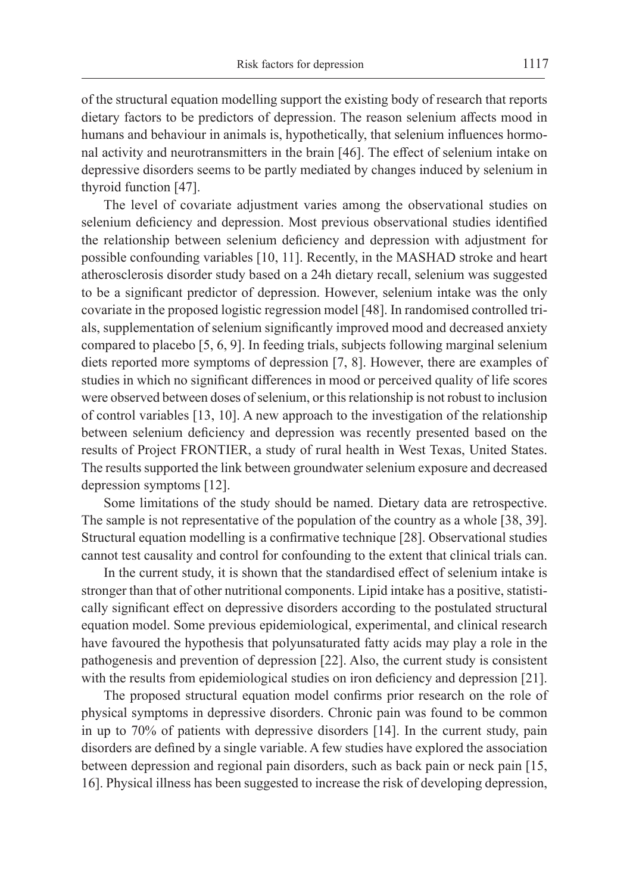of the structural equation modelling support the existing body of research that reports dietary factors to be predictors of depression. The reason selenium affects mood in humans and behaviour in animals is, hypothetically, that selenium influences hormonal activity and neurotransmitters in the brain [46]. The effect of selenium intake on depressive disorders seems to be partly mediated by changes induced by selenium in thyroid function [47].

The level of covariate adjustment varies among the observational studies on selenium deficiency and depression. Most previous observational studies identified the relationship between selenium deficiency and depression with adjustment for possible confounding variables [10, 11]. Recently, in the MASHAD stroke and heart atherosclerosis disorder study based on a 24h dietary recall, selenium was suggested to be a significant predictor of depression. However, selenium intake was the only covariate in the proposed logistic regression model [48]. In randomised controlled trials, supplementation of selenium significantly improved mood and decreased anxiety compared to placebo [5, 6, 9]. In feeding trials, subjects following marginal selenium diets reported more symptoms of depression [7, 8]. However, there are examples of studies in which no significant differences in mood or perceived quality of life scores were observed between doses of selenium, or this relationship is not robust to inclusion of control variables [13, 10]. A new approach to the investigation of the relationship between selenium deficiency and depression was recently presented based on the results of Project FRONTIER, a study of rural health in West Texas, United States. The results supported the link between groundwater selenium exposure and decreased depression symptoms [12].

Some limitations of the study should be named. Dietary data are retrospective. The sample is not representative of the population of the country as a whole [38, 39]. Structural equation modelling is a confirmative technique [28]. Observational studies cannot test causality and control for confounding to the extent that clinical trials can.

In the current study, it is shown that the standardised effect of selenium intake is stronger than that of other nutritional components. Lipid intake has a positive, statistically significant effect on depressive disorders according to the postulated structural equation model. Some previous epidemiological, experimental, and clinical research have favoured the hypothesis that polyunsaturated fatty acids may play a role in the pathogenesis and prevention of depression [22]. Also, the current study is consistent with the results from epidemiological studies on iron deficiency and depression [21].

The proposed structural equation model confirms prior research on the role of physical symptoms in depressive disorders. Chronic pain was found to be common in up to 70% of patients with depressive disorders [14]. In the current study, pain disorders are defined by a single variable. A few studies have explored the association between depression and regional pain disorders, such as back pain or neck pain [15, 16]. Physical illness has been suggested to increase the risk of developing depression,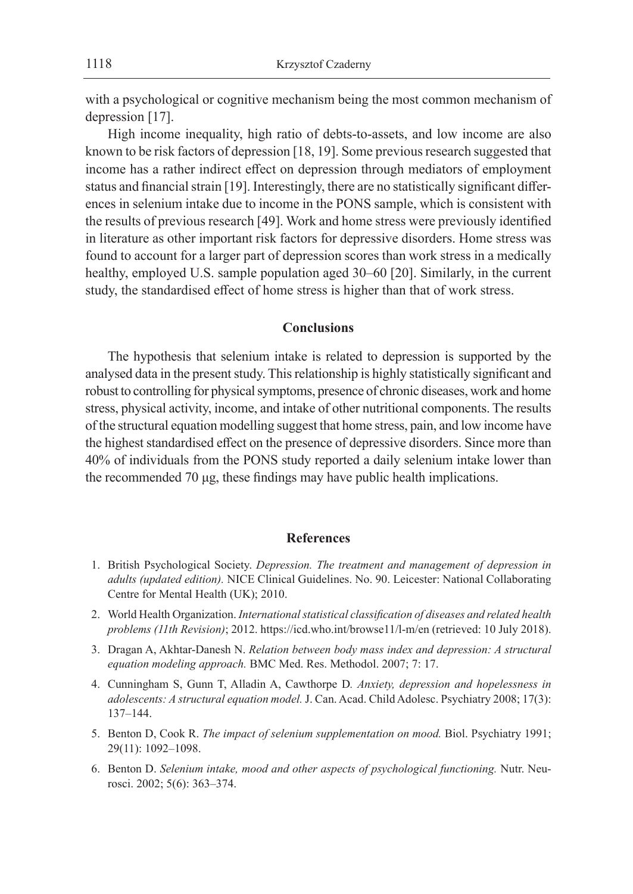with a psychological or cognitive mechanism being the most common mechanism of depression [17].

High income inequality, high ratio of debts-to-assets, and low income are also known to be risk factors of depression [18, 19]. Some previous research suggested that income has a rather indirect effect on depression through mediators of employment status and financial strain [19]. Interestingly, there are no statistically significant differences in selenium intake due to income in the PONS sample, which is consistent with the results of previous research [49]. Work and home stress were previously identified in literature as other important risk factors for depressive disorders. Home stress was found to account for a larger part of depression scores than work stress in a medically healthy, employed U.S. sample population aged 30–60 [20]. Similarly, in the current study, the standardised effect of home stress is higher than that of work stress.

#### **Conclusions**

The hypothesis that selenium intake is related to depression is supported by the analysed data in the present study. This relationship is highly statistically significant and robust to controlling for physical symptoms, presence of chronic diseases, work and home stress, physical activity, income, and intake of other nutritional components. The results of the structural equation modelling suggest that home stress, pain, and low income have the highest standardised effect on the presence of depressive disorders. Since more than 40% of individuals from the PONS study reported a daily selenium intake lower than the recommended 70 μg, these findings may have public health implications.

### **References**

- 1. British Psychological Society. *Depression. The treatment and management of depression in adults (updated edition).* NICE Clinical Guidelines. No. 90. Leicester: National Collaborating Centre for Mental Health (UK); 2010.
- 2. World Health Organization. *International statistical classification of diseases and related health problems (11th Revision)*; 2012. https://icd.who.int/browse11/l-m/en (retrieved: 10 July 2018).
- 3. Dragan A, Akhtar-Danesh N. *Relation between body mass index and depression: A structural equation modeling approach.* BMC Med. Res. Methodol. 2007; 7: 17.
- 4. Cunningham S, Gunn T, Alladin A, Cawthorpe D*. Anxiety, depression and hopelessness in adolescents: A structural equation model.* J. Can. Acad. Child Adolesc. Psychiatry 2008; 17(3): 137–144.
- 5. Benton D, Cook R. *The impact of selenium supplementation on mood.* Biol. Psychiatry 1991; 29(11): 1092–1098.
- 6. Benton D. *Selenium intake, mood and other aspects of psychological functioning.* Nutr. Neurosci. 2002; 5(6): 363–374.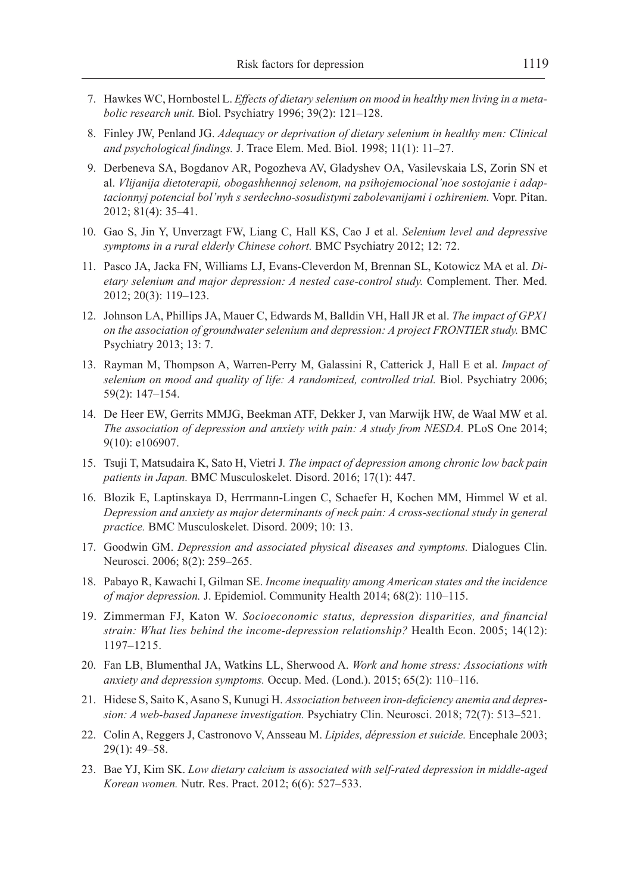- 7. Hawkes WC, Hornbostel L. *Effects of dietary selenium on mood in healthy men living in a metabolic research unit.* Biol. Psychiatry 1996; 39(2): 121–128.
- 8. Finley JW, Penland JG. *Adequacy or deprivation of dietary selenium in healthy men: Clinical and psychological findings.* J. Trace Elem. Med. Biol. 1998; 11(1): 11–27.
- 9. Derbeneva SA, Bogdanov AR, Pogozheva AV, Gladyshev OA, Vasilevskaia LS, Zorin SN et al. *Vlijanija dietoterapii, obogashhennoj selenom, na psihojemocional'noe sostojanie i adaptacionnyj potencial bol'nyh s serdechno-sosudistymi zabolevanijami i ozhireniem.* Vopr. Pitan. 2012; 81(4): 35–41.
- 10. Gao S, Jin Y, Unverzagt FW, Liang C, Hall KS, Cao J et al. *Selenium level and depressive symptoms in a rural elderly Chinese cohort.* BMC Psychiatry 2012; 12: 72.
- 11. Pasco JA, Jacka FN, Williams LJ, Evans-Cleverdon M, Brennan SL, Kotowicz MA et al. *Dietary selenium and major depression: A nested case-control study.* Complement. Ther. Med. 2012; 20(3): 119–123.
- 12. Johnson LA, Phillips JA, Mauer C, Edwards M, Balldin VH, Hall JR et al. *The impact of GPX1 on the association of groundwater selenium and depression: A project FRONTIER study.* BMC Psychiatry 2013; 13: 7.
- 13. Rayman M, Thompson A, Warren-Perry M, Galassini R, Catterick J, Hall E et al. *Impact of*  selenium on mood and quality of life: A randomized, controlled trial. Biol. Psychiatry 2006; 59(2): 147–154.
- 14. De Heer EW, Gerrits MMJG, Beekman ATF, Dekker J, van Marwijk HW, de Waal MW et al. *The association of depression and anxiety with pain: A study from NESDA.* PLoS One 2014; 9(10): e106907.
- 15. Tsuji T, Matsudaira K, Sato H, Vietri J*. The impact of depression among chronic low back pain patients in Japan.* BMC Musculoskelet. Disord. 2016; 17(1): 447.
- 16. Blozik E, Laptinskaya D, Herrmann-Lingen C, Schaefer H, Kochen MM, Himmel W et al. *Depression and anxiety as major determinants of neck pain: A cross-sectional study in general practice.* BMC Musculoskelet. Disord. 2009; 10: 13.
- 17. Goodwin GM. *Depression and associated physical diseases and symptoms.* Dialogues Clin. Neurosci. 2006; 8(2): 259–265.
- 18. Pabayo R, Kawachi I, Gilman SE. *Income inequality among American states and the incidence of major depression.* J. Epidemiol. Community Health 2014; 68(2): 110–115.
- 19. Zimmerman FJ, Katon W. *Socioeconomic status, depression disparities, and financial strain: What lies behind the income-depression relationship?* Health Econ. 2005; 14(12): 1197–1215.
- 20. Fan LB, Blumenthal JA, Watkins LL, Sherwood A. *Work and home stress: Associations with anxiety and depression symptoms.* Occup. Med. (Lond.). 2015; 65(2): 110–116.
- 21. Hidese S, Saito K, Asano S, Kunugi H. *Association between iron-deficiency anemia and depression: A web-based Japanese investigation.* Psychiatry Clin. Neurosci. 2018; 72(7): 513–521.
- 22. Colin A, Reggers J, Castronovo V, Ansseau M. *Lipides, dépression et suicide.* Encephale 2003; 29(1): 49–58.
- 23. Bae YJ, Kim SK. *Low dietary calcium is associated with self-rated depression in middle-aged Korean women.* Nutr. Res. Pract. 2012; 6(6): 527–533.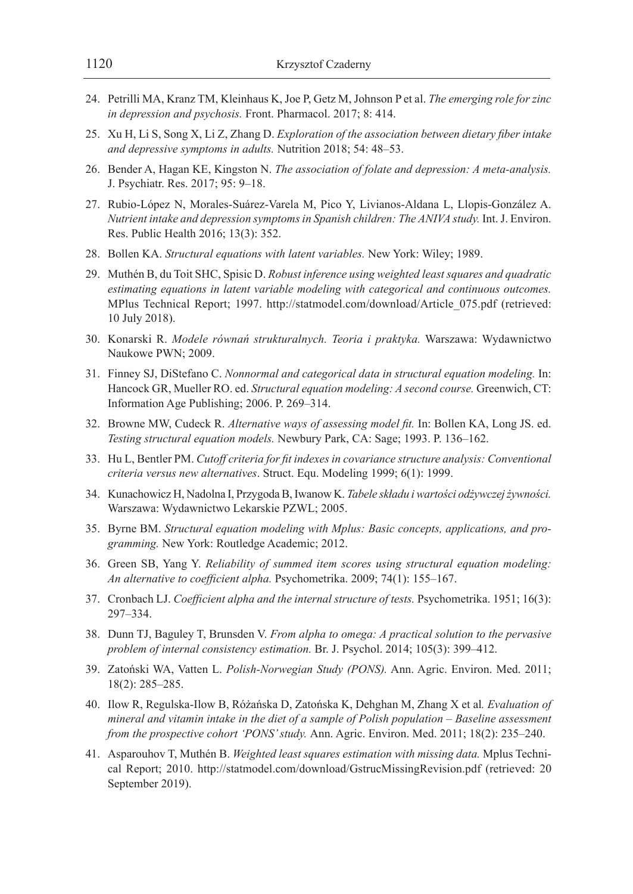- 24. Petrilli MA, Kranz TM, Kleinhaus K, Joe P, Getz M, Johnson P et al. *The emerging role for zinc in depression and psychosis.* Front. Pharmacol. 2017; 8: 414.
- 25. Xu H, Li S, Song X, Li Z, Zhang D. *Exploration of the association between dietary fiber intake and depressive symptoms in adults.* Nutrition 2018; 54: 48–53.
- 26. Bender A, Hagan KE, Kingston N. *The association of folate and depression: A meta-analysis.* J. Psychiatr. Res. 2017; 95: 9–18.
- 27. Rubio-López N, Morales-Suárez-Varela M, Pico Y, Livianos-Aldana L, Llopis-González A. *Nutrient intake and depression symptoms in Spanish children: The ANIVA study.* Int. J. Environ. Res. Public Health 2016; 13(3): 352.
- 28. Bollen KA. *Structural equations with latent variables.* New York: Wiley; 1989.
- 29. Muthén B, du Toit SHC, Spisic D. *Robust inference using weighted least squares and quadratic estimating equations in latent variable modeling with categorical and continuous outcomes.* MPlus Technical Report; 1997. http://statmodel.com/download/Article\_075.pdf (retrieved: 10 July 2018).
- 30. Konarski R. *Modele równań strukturalnych. Teoria i praktyka.* Warszawa: Wydawnictwo Naukowe PWN; 2009.
- 31. Finney SJ, DiStefano C. *Nonnormal and categorical data in structural equation modeling.* In: Hancock GR, Mueller RO. ed. *Structural equation modeling: A second course.* Greenwich, CT: Information Age Publishing; 2006. P. 269–314.
- 32. Browne MW, Cudeck R. *Alternative ways of assessing model fit.* In: Bollen KA, Long JS. ed. *Testing structural equation models.* Newbury Park, CA: Sage; 1993. P. 136–162.
- 33. Hu L, Bentler PM. *Cutoff criteria for fit indexes in covariance structure analysis: Conventional criteria versus new alternatives*. Struct. Equ. Modeling 1999; 6(1): 1999.
- 34. Kunachowicz H, Nadolna I, Przygoda B, Iwanow K. *Tabele składu iwartości odżywczej żywności.* Warszawa: Wydawnictwo Lekarskie PZWL; 2005.
- 35. Byrne BM. *Structural equation modeling with Mplus: Basic concepts, applications, and programming.* New York: Routledge Academic; 2012.
- 36. Green SB, Yang Y. *Reliability of summed item scores using structural equation modeling: An alternative to coefficient alpha.* Psychometrika. 2009; 74(1): 155–167.
- 37. Cronbach LJ. *Coefficient alpha and the internal structure of tests.* Psychometrika. 1951; 16(3): 297–334.
- 38. Dunn TJ, Baguley T, Brunsden V. *From alpha to omega: A practical solution to the pervasive problem of internal consistency estimation.* Br. J. Psychol. 2014; 105(3): 399–412.
- 39. Zatoński WA, Vatten L. *Polish-Norwegian Study (PONS).* Ann. Agric. Environ. Med. 2011; 18(2): 285–285.
- 40. Ilow R, Regulska-Ilow B, Różańska D, Zatońska K, Dehghan M, Zhang X et al*. Evaluation of mineral and vitamin intake in the diet of a sample of Polish population – Baseline assessment from the prospective cohort 'PONS' study.* Ann. Agric. Environ. Med. 2011; 18(2): 235–240.
- 41. Asparouhov T, Muthén B. *Weighted least squares estimation with missing data.* Mplus Technical Report; 2010. http://statmodel.com/download/GstrucMissingRevision.pdf (retrieved: 20 September 2019).